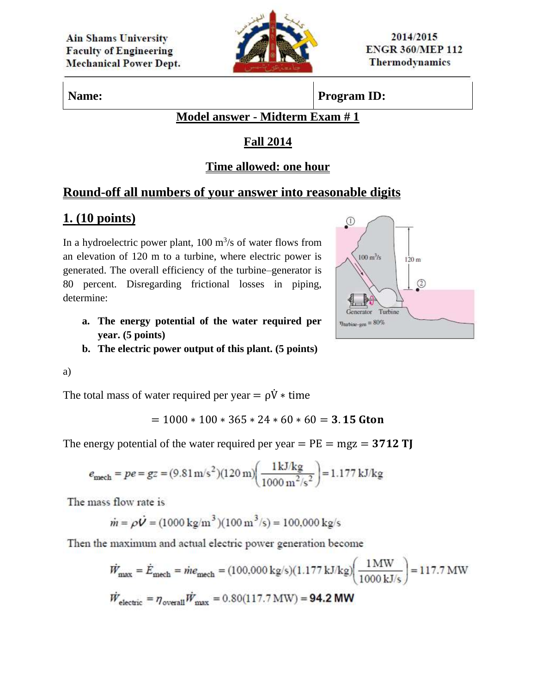

**Name: Program ID:** 

### **Model answer - Midterm Exam # 1**

## **Fall 2014**

### **Time allowed: one hour**

## **Round-off all numbers of your answer into reasonable digits**

# **1. (10 points)**

In a hydroelectric power plant,  $100 \text{ m}^3\text{/s}$  of water flows from an elevation of 120 m to a turbine, where electric power is generated. The overall efficiency of the turbine–generator is 80 percent. Disregarding frictional losses in piping, determine:

- **a. The energy potential of the water required per year. (5 points)**
- **b. The electric power output of this plant. (5 points)**

a)

The total mass of water required per year =  $\rho \dot{V}$  \* time

$$
= 1000 * 100 * 365 * 24 * 60 * 60 = 3.15
$$
 Gton

The energy potential of the water required per year  $= PE = mgz = 3712 TJ$ 

$$
e_{\text{mech}} = pe = gz = (9.81 \,\text{m/s}^2)(120 \,\text{m}) \left(\frac{1 \,\text{kJ/kg}}{1000 \,\text{m}^2/\text{s}^2}\right) = 1.177 \,\text{kJ/kg}
$$

The mass flow rate is

$$
\dot{m} = \rho \dot{V} = (1000 \text{ kg/m}^3)(100 \text{ m}^3/\text{s}) = 100,000 \text{ kg/s}
$$

Then the maximum and actual electric power generation become

$$
\dot{W}_{\text{max}} = \dot{E}_{\text{mech}} = \dot{m}e_{\text{mech}} = (100,000 \text{ kg/s})(1.177 \text{ kJ/kg}) \left(\frac{1 \text{ MW}}{1000 \text{ kJ/s}}\right) = 117.7 \text{ MW}
$$
\n
$$
\dot{W}_{\text{electric}} = \eta_{\text{overall}} \dot{W}_{\text{max}} = 0.80(117.7 \text{ MW}) = 94.2 \text{ MW}
$$

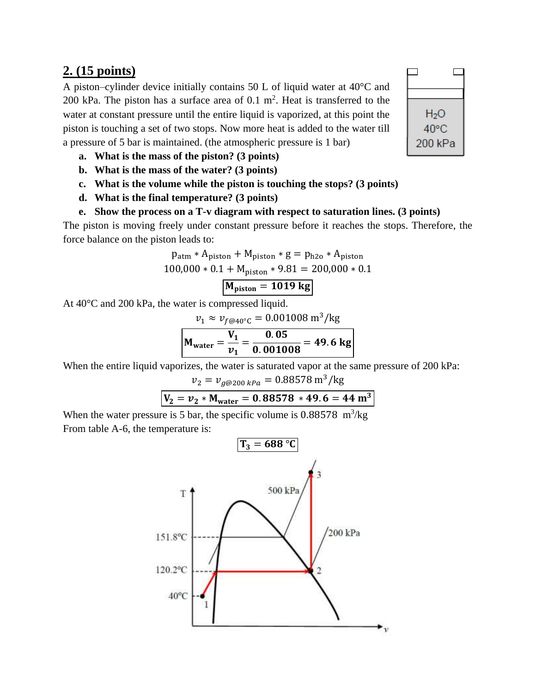### **2. (15 points)**

A piston–cylinder device initially contains 50 L of liquid water at 40°C and 200 kPa. The piston has a surface area of  $0.1 \text{ m}^2$ . Heat is transferred to the water at constant pressure until the entire liquid is vaporized, at this point the piston is touching a set of two stops. Now more heat is added to the water till a pressure of 5 bar is maintained. (the atmospheric pressure is 1 bar)

- **a. What is the mass of the piston? (3 points)**
- **b. What is the mass of the water? (3 points)**
- **c. What is the volume while the piston is touching the stops? (3 points)**
- **d. What is the final temperature? (3 points)**

### **e. Show the process on a T-v diagram with respect to saturation lines. (3 points)**

The piston is moving freely under constant pressure before it reaches the stops. Therefore, the force balance on the piston leads to:

$$
p_{atm} * A_{piston} + M_{piston} * g = p_{h2o} * A_{piston}
$$
  
100,000 \* 0.1 + M<sub>piston</sub> \* 9.81 = 200,000 \* 0.1  
M<sub>piston</sub> = 1019 kg

At 40°C and 200 kPa, the water is compressed liquid.

$$
v_1 \approx v_{f@40^{\circ}\text{C}} = 0.001008 \text{ m}^3/\text{kg}
$$

$$
\mathbf{M}_{\text{water}} = \frac{\mathbf{V}_1}{v_1} = \frac{0.05}{0.001008} = 49.6 \text{ kg}
$$

When the entire liquid vaporizes, the water is saturated vapor at the same pressure of 200 kPa:

$$
v_2 = v_{g@200\ kPa} = 0.88578 \text{ m}^3/\text{kg}
$$
  

$$
V_2 = v_2 * M_{\text{water}} = 0.88578 * 49.6 = 44 \text{ m}^3
$$

When the water pressure is 5 bar, the specific volume is  $0.88578$  m<sup>3</sup>/kg From table A-6, the temperature is:



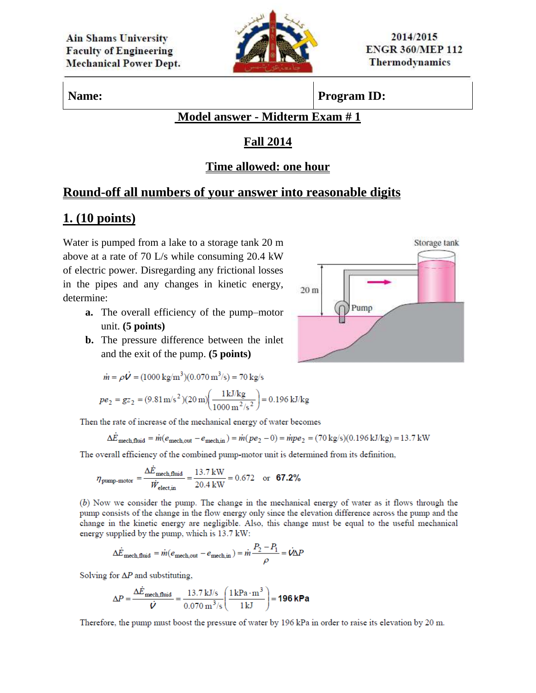

## **Name: Program ID:**

### **Model answer - Midterm Exam # 1**

### **Fall 2014**

### **Time allowed: one hour**

## **Round-off all numbers of your answer into reasonable digits**

# **1. (10 points)**

Water is pumped from a lake to a storage tank 20 m above at a rate of 70 L/s while consuming 20.4 kW of electric power. Disregarding any frictional losses in the pipes and any changes in kinetic energy, determine:

- **a.** The overall efficiency of the pump–motor unit. **(5 points)**
- **b.** The pressure difference between the inlet and the exit of the pump. **(5 points)**

$$
\dot{m} = \rho \dot{V} = (1000 \text{ kg/m}^3)(0.070 \text{ m}^3/\text{s}) = 70 \text{ kg/s}
$$

$$
pe_2 = gz_2 = (9.81 \text{ m/s}^2)(20 \text{ m}) \left(\frac{1 \text{ kJ/kg}}{1000 \text{ m}^2/\text{s}^2}\right) = 0.196 \text{ kJ/kg}
$$

Then the rate of increase of the mechanical energy of water becomes

$$
\Delta \dot{E}_{\text{mech,fluid}} = \dot{m}(e_{\text{mech,out}} - e_{\text{mech,in}}) = \dot{m}(pe_2 - 0) = \dot{m}pe_2 = (70 \text{ kg/s})(0.196 \text{ kJ/kg}) = 13.7 \text{ kW}
$$

The overall efficiency of the combined pump-motor unit is determined from its definition,

$$
\eta_{\text{pump-motor}} = \frac{\Delta \dot{E}_{\text{mech,fluid}}}{\dot{W}_{\text{electin}}} = \frac{13.7 \text{ kW}}{20.4 \text{ kW}} = 0.672 \quad \text{or} \quad \textbf{67.2\%}
$$

(b) Now we consider the pump. The change in the mechanical energy of water as it flows through the pump consists of the change in the flow energy only since the elevation difference across the pump and the change in the kinetic energy are negligible. Also, this change must be equal to the useful mechanical energy supplied by the pump, which is 13.7 kW:

$$
\Delta \dot{E}_{\text{mech,fluid}} = \dot{m}(e_{\text{mech,out}} - e_{\text{mech,in}}) = \dot{m} \frac{P_2 - P_1}{\rho} = \dot{V} \Delta P
$$

Solving for  $\Delta P$  and substituting,

$$
\Delta P = \frac{\Delta \dot{E}_{\text{mech,fluid}}}{\dot{V}} = \frac{13.7 \text{ kJ/s}}{0.070 \text{ m}^3/\text{s}} \left( \frac{1 \text{ kPa} \cdot \text{m}^3}{1 \text{ kJ}} \right) = 196 \text{ kPa}
$$

Therefore, the pump must boost the pressure of water by 196 kPa in order to raise its elevation by 20 m.